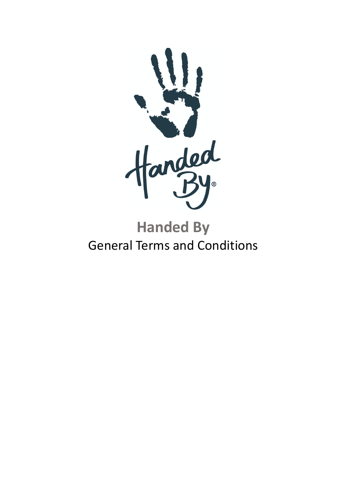

# **Handed By** General Terms and Conditions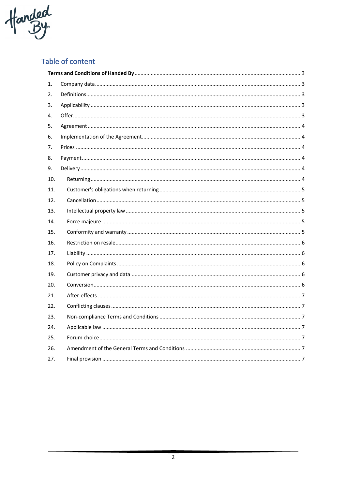

# Table of content

| 1.  |  |
|-----|--|
| 2.  |  |
| 3.  |  |
| 4.  |  |
| 5.  |  |
| 6.  |  |
| 7.  |  |
| 8.  |  |
| 9.  |  |
| 10. |  |
| 11. |  |
| 12. |  |
| 13. |  |
| 14. |  |
| 15. |  |
| 16. |  |
| 17. |  |
| 18. |  |
| 19. |  |
| 20. |  |
| 21. |  |
| 22. |  |
| 23. |  |
| 24. |  |
| 25. |  |
| 26. |  |
| 27. |  |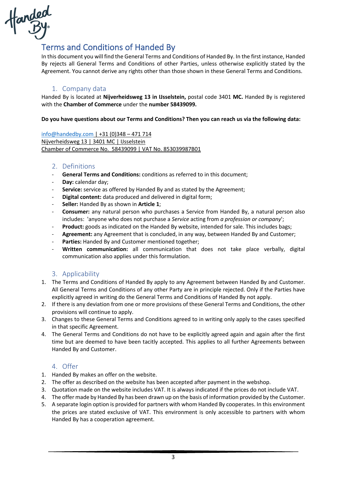

# Terms and Conditions of Handed By

In this document you will find the General Terms and Conditions of Handed By. In the first instance, Handed By rejects all General Terms and Conditions of other Parties, unless otherwise explicitly stated by the Agreement. You cannot derive any rights other than those shown in these General Terms and Conditions.

# 1. Company data

Handed By is located at **Nijverheidsweg 13 in IJsselstein,** postal code 3401 **MC.** Handed By is registered with the **Chamber of Commerce** under the **number 58439099.**

#### **Do you have questions about our Terms and Conditions? Then you can reach us via the following data:**

info@handedby.com | +31 (0)348 – 471 714 Nijverheidsweg 13 | 3401 MC | IJsselstein Chamber of Commerce No. 58439099 | VAT No. 853039987B01

# 2. Definitions

- General Terms and Conditions: conditions as referred to in this document;
- **Day:** calendar day;
- **Service:** service as offered by Handed By and as stated by the Agreement;
- **Digital content:** data produced and delivered in digital form;
- **Seller:** Handed By as shown in **Article 1**;
- **Consumer:** any natural person who purchases a Service from Handed By, a natural person also includes: 'anyone who does not purchase a *Service* acting from *a profession or company*';
- **Product:** goods as indicated on the Handed By website, intended for sale. This includes bags;
- Agreement: any Agreement that is concluded, in any way, between Handed By and Customer;
- Parties: Handed By and Customer mentioned together;
- **Written communication:** all communication that does not take place verbally, digital communication also applies under this formulation.

# 3. Applicability

- 1. The Terms and Conditions of Handed By apply to any Agreement between Handed By and Customer. All General Terms and Conditions of any other Party are in principle rejected. Only if the Parties have explicitly agreed in writing do the General Terms and Conditions of Handed By not apply.
- 2. If there is any deviation from one or more provisions of these General Terms and Conditions, the other provisions will continue to apply.
- 3. Changes to these General Terms and Conditions agreed to in writing only apply to the cases specified in that specific Agreement.
- 4. The General Terms and Conditions do not have to be explicitly agreed again and again after the first time but are deemed to have been tacitly accepted. This applies to all further Agreements between Handed By and Customer.

# 4. Offer

- 1. Handed By makes an offer on the website.
- 2. The offer as described on the website has been accepted after payment in the webshop.
- 3. Quotation made on the website includes VAT. It is always indicated if the prices do not include VAT.
- 4. The offer made by Handed By has been drawn up on the basis of information provided by the Customer.
- 5. A separate login option is provided for partners with whom Handed By cooperates. In this environment the prices are stated exclusive of VAT. This environment is only accessible to partners with whom Handed By has a cooperation agreement.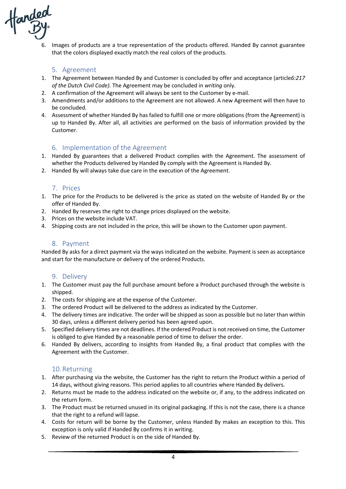

6. Images of products are a true representation of the products offered. Handed By cannot guarantee that the colors displayed exactly match the real colors of the products.

#### 5. Agreement

- 1. The Agreement between Handed By and Customer is concluded by offer and acceptance (article*6:217 of the Dutch Civil Code).* The Agreement may be concluded in *writing* only.
- 2. A confirmation of the Agreement will always be sent to the Customer by e-mail.
- 3. Amendments and/or additions to the Agreement are not allowed. A new Agreement will then have to be concluded.
- 4. Assessment of whether Handed By has failed to fulfill one or more obligations (from the Agreement) is up to Handed By. After all, all activities are performed on the basis of information provided by the Customer.

#### 6. Implementation of the Agreement

- 1. Handed By guarantees that a delivered Product complies with the Agreement. The assessment of whether the Products delivered by Handed By comply with the Agreement is Handed By.
- 2. Handed By will always take due care in the execution of the Agreement.

#### 7. Prices

- 1. The price for the Products to be delivered is the price as stated on the website of Handed By or the offer of Handed By.
- 2. Handed By reserves the right to change prices displayed on the website.
- 3. Prices on the website include VAT.
- 4. Shipping costs are not included in the price, this will be shown to the Customer upon payment.

#### 8. Payment

Handed By asks for a direct payment via the ways indicated on the website. Payment is seen as acceptance and start for the manufacture or delivery of the ordered Products.

#### 9. Delivery

- 1. The Customer must pay the full purchase amount before a Product purchased through the website is shipped.
- 2. The costs for shipping are at the expense of the Customer.
- 3. The ordered Product will be delivered to the address as indicated by the Customer.
- 4. The delivery times are indicative. The order will be shipped as soon as possible but no later than within 30 days, unless a different delivery period has been agreed upon.
- 5. Specified delivery times are not deadlines. If the ordered Product is not received on time, the Customer is obliged to give Handed By a reasonable period of time to deliver the order.
- 6. Handed By delivers, according to insights from Handed By, a final product that complies with the Agreement with the Customer.

#### 10.Returning

- 1. After purchasing via the website, the Customer has the right to return the Product within a period of 14 days, without giving reasons. This period applies to all countries where Handed By delivers.
- 2. Returns must be made to the address indicated on the website or, if any, to the address indicated on the return form.
- 3. The Product must be returned unused in its original packaging. If this is not the case, there is a chance that the right to a refund will lapse.
- 4. Costs for return will be borne by the Customer, unless Handed By makes an exception to this. This exception is only valid if Handed By confirms it in writing.
- 5. Review of the returned Product is on the side of Handed By.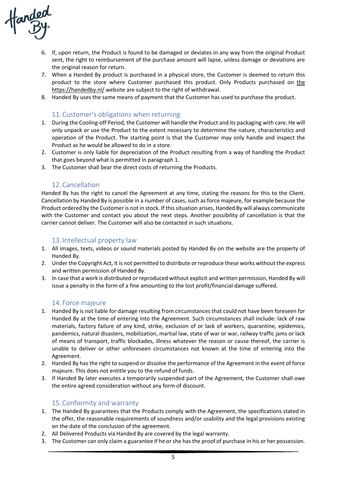anded<br>By

- 6. If, upon return, the Product is found to be damaged or deviates in any way from the original Product sent, the right to reimbursement of the purchase amount will lapse, unless damage or deviations are the original reason for return.
- 7. When a Handed By product is purchased in a physical store, the Customer is deemed to return this product to the store where Customer purchased this product. Only Products purchased on the https://handedby.nl/ website are subject to the right of withdrawal.
- 8. Handed By uses the same means of payment that the Customer has used to purchase the product.

#### 11.Customer's obligations when returning

- 1. During the Cooling-off Period, the Customer will handle the Product and its packaging with care. He will only unpack or use the Product to the extent necessary to determine the nature, characteristics and operation of the Product. The starting point is that the Customer may only handle and inspect the Product as he would be allowed to do in a store.
- 2. Customer is only liable for depreciation of the Product resulting from a way of handling the Product that goes beyond what is permitted in paragraph 1.
- 3. The Customer shall bear the direct costs of returning the Products.

#### 12.Cancellation

Handed By has the right to cancel the Agreement at any time, stating the reasons for this to the Client. Cancellation by Handed By is possible in a number of cases, such as force majeure, for example because the Product ordered by the Customer is not in stock. If this situation arises, Handed By will always communicate with the Customer and contact you about the next steps. Another possibility of cancellation is that the carrier cannot deliver. The Customer will also be contacted in such situations.

# 13. Intellectual property law

- 1. All images, texts, videos or sound materials posted by Handed By on the website are the property of Handed By.
- 2. Under the Copyright Act, it is not permitted to distribute or reproduce these works without the express and written permission of Handed By.
- 3. In case that a work is distributed or reproduced without explicit and written permission, Handed By will issue a penalty in the form of a fine amounting to the lost profit/financial damage suffered.

# 14. Force majeure

- 1. Handed By is not liable for damage resulting from circumstances that could not have been foreseen for Handed By at the time of entering into the Agreement. Such circumstances shall include: lack of raw materials, factory failure of any kind, strike, exclusion of or lack of workers, quarantine, epidemics, pandemics, natural disasters, mobilization, martial law, state of war or war, railway traffic jams or lack of means of transport, traffic blockades, illness whatever the reason or cause thereof, the carrier is unable to deliver or other unforeseen circumstances not known at the time of entering into the Agreement.
- 2. Handed By has the right to suspend or dissolve the performance of the Agreement in the event of force majeure. This does not entitle you to the refund of funds.
- 3. If Handed By later executes a temporarily suspended part of the Agreement, the Customer shall owe the entire agreed consideration without any form of discount.

# 15.Conformity and warranty

- 1. The Handed By guarantees that the Products comply with the Agreement, the specifications stated in the offer, the reasonable requirements of soundness and/or usability and the legal provisions existing on the date of the conclusion of the agreement.
- 2. All Delivered Products via Handed By are covered by the legal warranty.
- 3. The Customer can only claim a guarantee if he or she has the proof of purchase in his or her possession.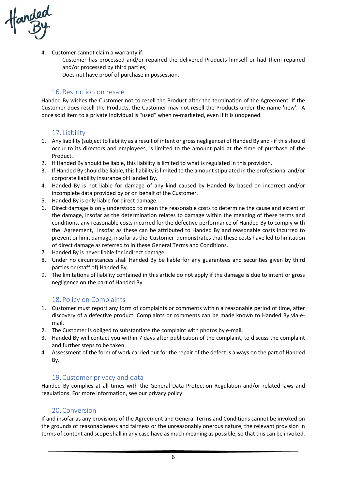anded<br>By

- 4. Customer cannot claim a warranty if:
	- Customer has processed and/or repaired the delivered Products himself or had them repaired and/or processed by third parties;
	- Does not have proof of purchase in possession.

#### 16.Restriction on resale

Handed By wishes the Customer not to resell the Product after the termination of the Agreement. If the Customer does resell the Products, the Customer may not resell the Products under the name 'new'. A once sold item to a private individual is "used" when re-marketed, even if it is unopened.

#### 17. Liability

- 1. Any liability (subject to liability as a result of intent or gross negligence) of Handed By and if this should occur to its directors and employees, is limited to the amount paid at the time of purchase of the Product.
- 2. If Handed By should be liable, this liability is limited to what is regulated in this provision.
- 3. If Handed By should be liable, this liability is limited to the amount stipulated in the professional and/or corporate liability insurance of Handed By.
- 4. Handed By is not liable for damage of any kind caused by Handed By based on incorrect and/or incomplete data provided by or on behalf of the Customer.
- 5. Handed By is only liable for direct damage.
- 6. Direct damage is only understood to mean the reasonable costs to determine the cause and extent of the damage, insofar as the determination relates to damage within the meaning of these terms and conditions, any reasonable costs incurred for the defective performance of Handed By to comply with the Agreement, insofar as these can be attributed to Handed By and reasonable costs incurred to prevent or limit damage, insofar as the Customer demonstrates that these costs have led to limitation of direct damage as referred to in these General Terms and Conditions.
- 7. Handed By is never liable for indirect damage.
- 8. Under no circumstances shall Handed By be liable for any guarantees and securities given by third parties or (staff of) Handed By.
- 9. The limitations of liability contained in this article do not apply if the damage is due to intent or gross negligence on the part of Handed By.

# 18. Policy on Complaints

- 1. Customer must report any form of complaints or comments within a reasonable period of time, after discovery of a defective product. Complaints or comments can be made known to Handed By via email.
- 2. The Customer is obliged to substantiate the complaint with photos by e-mail.
- 3. Handed By will contact you within 7 days after publication of the complaint, to discuss the complaint and further steps to be taken.
- 4. Assessment of the form of work carried out for the repair of the defect is always on the part of Handed By.

#### 19.Customer privacy and data

Handed By complies at all times with the General Data Protection Regulation and/or related laws and regulations. For more information, see our privacy policy.

#### 20.Conversion

If and insofar as any provisions of the Agreement and General Terms and Conditions cannot be invoked on the grounds of reasonableness and fairness or the unreasonably onerous nature, the relevant provision in terms of content and scope shall in any case have as much meaning as possible, so that this can be invoked.